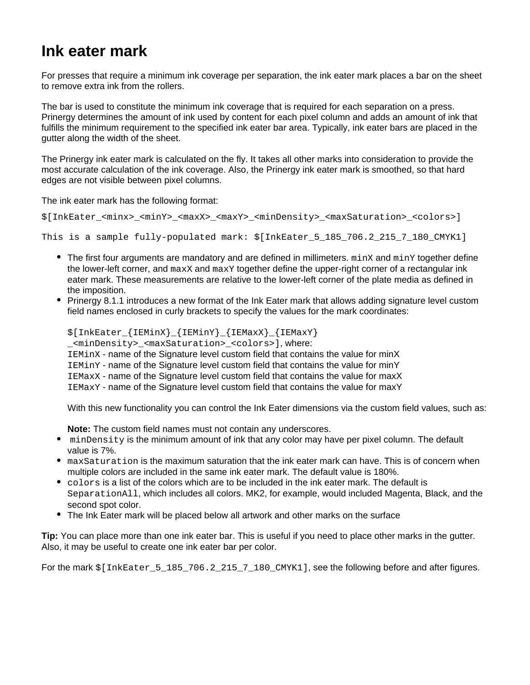## **Ink eater mark**

For presses that require a minimum ink coverage per separation, the ink eater mark places a bar on the sheet to remove extra ink from the rollers.

The bar is used to constitute the minimum ink coverage that is required for each separation on a press. Prinergy determines the amount of ink used by content for each pixel column and adds an amount of ink that fulfills the minimum requirement to the specified ink eater bar area. Typically, ink eater bars are placed in the gutter along the width of the sheet.

The Prinergy ink eater mark is calculated on the fly. It takes all other marks into consideration to provide the most accurate calculation of the ink coverage. Also, the Prinergy ink eater mark is smoothed, so that hard edges are not visible between pixel columns.

The ink eater mark has the following format:

```
$[InkEater_<minx>_<minY>_<maxX>_<maxY>_<minDensity>_<maxSaturation>_<colors>]
```

```
This is a sample fully-populated mark: $[InkEater_5_185_706.2_215_7_180_CMYK1]
```
- $\bullet$  The first four arguments are mandatory and are defined in millimeters.  $\min X$  and  $\min Y$  together define the lower-left corner, and  $maxx$  and  $maxy$  together define the upper-right corner of a rectangular ink eater mark. These measurements are relative to the lower-left corner of the plate media as defined in the imposition.
- Prinergy 8.1.1 introduces a new format of the Ink Eater mark that allows adding signature level custom field names enclosed in curly brackets to specify the values for the mark coordinates:

\$[InkEater\_{IEMinX}\_{IEMinY}\_{IEMaxX}\_{IEMaxY} \_<minDensity>\_<maxSaturation>\_<colors>], where: IEMinX - name of the Signature level custom field that contains the value for minX IEMinY - name of the Signature level custom field that contains the value for minY IEMaxX - name of the Signature level custom field that contains the value for maxX IEMaxY - name of the Signature level custom field that contains the value for maxY

With this new functionality you can control the Ink Eater dimensions via the custom field values, such as:

- **Note:** The custom field names must not contain any underscores.
- minDensity is the minimum amount of ink that any color may have per pixel column. The default value is 7%.
- maxSaturation is the maximum saturation that the ink eater mark can have. This is of concern when multiple colors are included in the same ink eater mark. The default value is 180%.
- colors is a list of the colors which are to be included in the ink eater mark. The default is SeparationAll, which includes all colors. MK2, for example, would included Magenta, Black, and the second spot color.
- The Ink Eater mark will be placed below all artwork and other marks on the surface

**Tip:** You can place more than one ink eater bar. This is useful if you need to place other marks in the gutter. Also, it may be useful to create one ink eater bar per color.

For the mark  $\S$ [InkEater\_5\_185\_706.2\_215\_7\_180\_CMYK1], see the following before and after figures.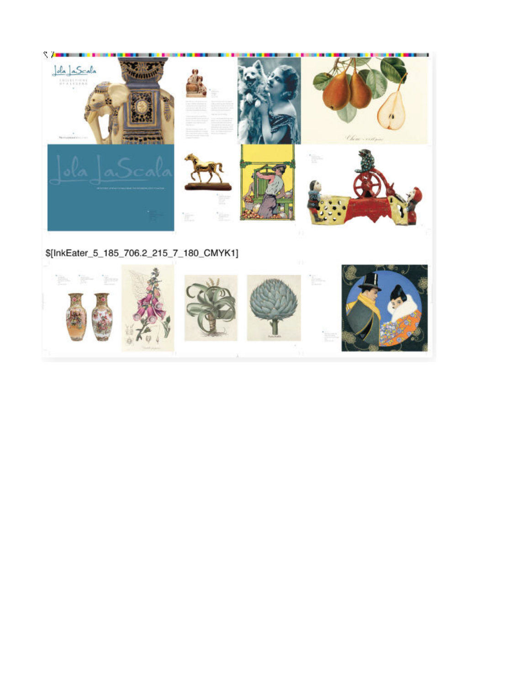

\$[InkEater\_5\_185\_706.2\_215\_7\_180\_CMYK1]